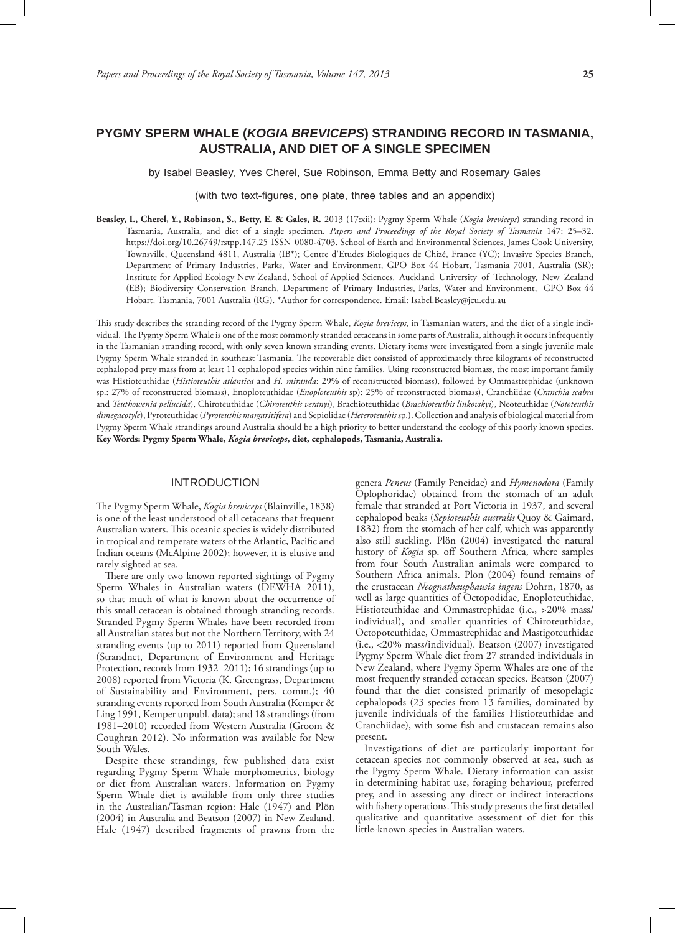# **PYGMY SPERM WHALE (***KOGIA BREVICEPS***) STRANDING RECORD IN TASMANIA, AUSTRALIA, AND DIET OF A SINGLE SPECIMEN**

by Isabel Beasley, Yves Cherel, Sue Robinson, Emma Betty and Rosemary Gales

(with two text-figures, one plate, three tables and an appendix)

**Beasley, I., Cherel, Y., Robinson, S., Betty, E. & Gales, R.** 2013 (17:xii): Pygmy Sperm Whale (*Kogia breviceps*) stranding record in Tasmania, Australia, and diet of a single specimen. *Papers and Proceedings of the Royal Society of Tasmania* 147: 25–32. https://doi.org/10.26749/rstpp.147.25 ISSN 0080-4703. School of Earth and Environmental Sciences, James Cook University, Townsville, Queensland 4811, Australia (IB\*); Centre d'Etudes Biologiques de Chizé, France (YC); Invasive Species Branch, Department of Primary Industries, Parks, Water and Environment, GPO Box 44 Hobart, Tasmania 7001, Australia (SR); Institute for Applied Ecology New Zealand, School of Applied Sciences, Auckland University of Technology, New Zealand (EB); Biodiversity Conservation Branch, Department of Primary Industries, Parks, Water and Environment, GPO Box 44 Hobart, Tasmania, 7001 Australia (RG). \*Author for correspondence. Email: Isabel.Beasley@jcu.edu.au

This study describes the stranding record of the Pygmy Sperm Whale, *Kogia breviceps*, in Tasmanian waters, and the diet of a single individual. The Pygmy Sperm Whale is one of the most commonly stranded cetaceans in some parts of Australia, although it occurs infrequently in the Tasmanian stranding record, with only seven known stranding events. Dietary items were investigated from a single juvenile male Pygmy Sperm Whale stranded in southeast Tasmania. The recoverable diet consisted of approximately three kilograms of reconstructed cephalopod prey mass from at least 11 cephalopod species within nine families. Using reconstructed biomass, the most important family was Histioteuthidae (*Histioteuthis atlantica* and *H. miranda*: 29% of reconstructed biomass), followed by Ommastrephidae (unknown sp.: 27% of reconstructed biomass), Enoploteuthidae (*Enoploteuthis* sp): 25% of reconstructed biomass), Cranchiidae (*Cranchia scabra* and *Teuthowenia pellucida*), Chiroteuthidae (*Chiroteuthis veranyi*), Brachioteuthidae (*Brachioteuthis linkovskyi*), Neoteuthidae (*Nototeuthis dimegacotyle*), Pyroteuthidae (*Pyroteuthis margaritifera*) and Sepiolidae (*Heteroteuthis* sp.). Collection and analysis of biological material from Pygmy Sperm Whale strandings around Australia should be a high priority to better understand the ecology of this poorly known species. **Key Words: Pygmy Sperm Whale,** *Kogia breviceps***, diet, cephalopods, Tasmania, Australia.**

## INTRODUCTION

The Pygmy Sperm Whale, *Kogia breviceps* (Blainville, 1838) is one of the least understood of all cetaceans that frequent Australian waters. This oceanic species is widely distributed in tropical and temperate waters of the Atlantic, Pacific and Indian oceans (McAlpine 2002); however, it is elusive and rarely sighted at sea.

There are only two known reported sightings of Pygmy Sperm Whales in Australian waters (DEWHA 2011), so that much of what is known about the occurrence of this small cetacean is obtained through stranding records. Stranded Pygmy Sperm Whales have been recorded from all Australian states but not the Northern Territory, with 24 stranding events (up to 2011) reported from Queensland (Strandnet, Department of Environment and Heritage Protection, records from 1932–2011); 16 strandings (up to 2008) reported from Victoria (K. Greengrass, Department of Sustainability and Environment, pers. comm.); 40 stranding events reported from South Australia (Kemper & Ling 1991, Kemper unpubl. data); and 18 strandings (from 1981–2010) recorded from Western Australia (Groom & Coughran 2012). No information was available for New South Wales.

Despite these strandings, few published data exist regarding Pygmy Sperm Whale morphometrics, biology or diet from Australian waters. Information on Pygmy Sperm Whale diet is available from only three studies in the Australian/Tasman region: Hale (1947) and Plön (2004) in Australia and Beatson (2007) in New Zealand. Hale (1947) described fragments of prawns from the genera *Peneus* (Family Peneidae) and *Hymenodora* (Family Oplophoridae) obtained from the stomach of an adult female that stranded at Port Victoria in 1937, and several cephalopod beaks (*Sepioteuthis australis* Quoy & Gaimard, 1832) from the stomach of her calf, which was apparently also still suckling. Plön (2004) investigated the natural history of *Kogia* sp. off Southern Africa, where samples from four South Australian animals were compared to Southern Africa animals. Plön (2004) found remains of the crustacean *Neognathauphausia ingens* Dohrn, 1870, as well as large quantities of Octopodidae, Enoploteuthidae, Histioteuthidae and Ommastrephidae (i.e., >20% mass/ individual), and smaller quantities of Chiroteuthidae, Octopoteuthidae, Ommastrephidae and Mastigoteuthidae (i.e., <20% mass/individual). Beatson (2007) investigated Pygmy Sperm Whale diet from 27 stranded individuals in New Zealand, where Pygmy Sperm Whales are one of the most frequently stranded cetacean species. Beatson (2007) found that the diet consisted primarily of mesopelagic cephalopods (23 species from 13 families, dominated by juvenile individuals of the families Histioteuthidae and Cranchiidae), with some fish and crustacean remains also present.

Investigations of diet are particularly important for cetacean species not commonly observed at sea, such as the Pygmy Sperm Whale. Dietary information can assist in determining habitat use, foraging behaviour, preferred prey, and in assessing any direct or indirect interactions with fishery operations. This study presents the first detailed qualitative and quantitative assessment of diet for this little-known species in Australian waters.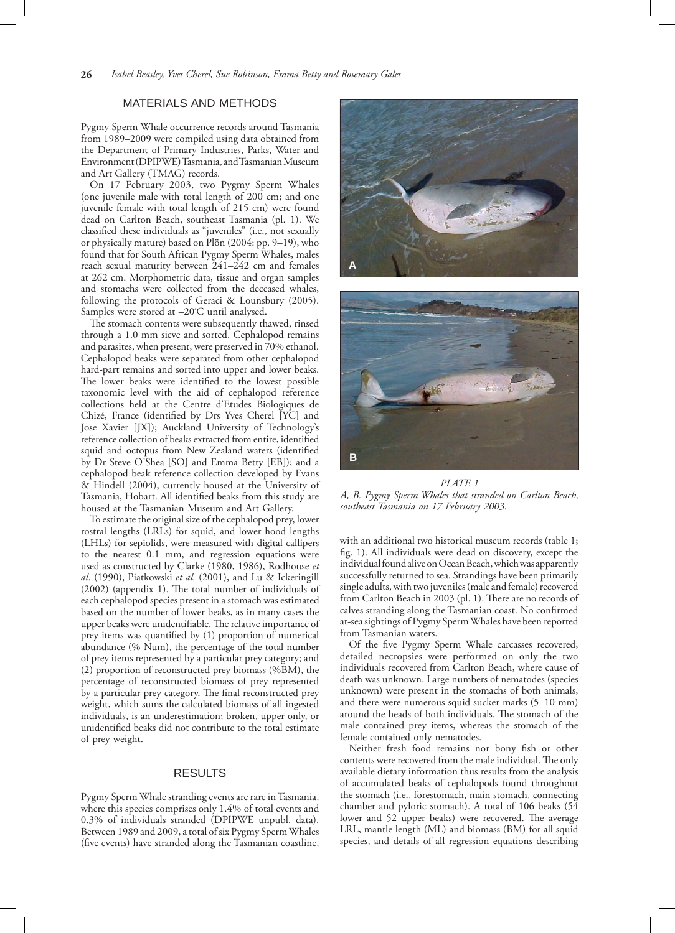## MATERIALS AND METHODS

Pygmy Sperm Whale occurrence records around Tasmania from 1989–2009 were compiled using data obtained from the Department of Primary Industries, Parks, Water and Environment (DPIPWE) Tasmania, and Tasmanian Museum and Art Gallery (TMAG) records.

On 17 February 2003, two Pygmy Sperm Whales (one juvenile male with total length of 200 cm; and one juvenile female with total length of 215 cm) were found dead on Carlton Beach, southeast Tasmania (pl. 1). We classified these individuals as "juveniles" (i.e., not sexually or physically mature) based on Plön (2004: pp. 9–19), who found that for South African Pygmy Sperm Whales, males reach sexual maturity between 241–242 cm and females at 262 cm. Morphometric data, tissue and organ samples and stomachs were collected from the deceased whales, following the protocols of Geraci & Lounsbury (2005). Samples were stored at –20° C until analysed.

The stomach contents were subsequently thawed, rinsed through a 1.0 mm sieve and sorted. Cephalopod remains and parasites, when present, were preserved in 70% ethanol. Cephalopod beaks were separated from other cephalopod hard-part remains and sorted into upper and lower beaks. The lower beaks were identified to the lowest possible taxonomic level with the aid of cephalopod reference collections held at the Centre d'Etudes Biologiques de Chizé, France (identified by Drs Yves Cherel [YC] and Jose Xavier [JX]); Auckland University of Technology's reference collection of beaks extracted from entire, identified squid and octopus from New Zealand waters (identified by Dr Steve O'Shea [SO] and Emma Betty [EB]); and a cephalopod beak reference collection developed by Evans & Hindell (2004), currently housed at the University of Tasmania, Hobart. All identified beaks from this study are housed at the Tasmanian Museum and Art Gallery.

To estimate the original size of the cephalopod prey, lower rostral lengths (LRLs) for squid, and lower hood lengths (LHLs) for sepiolids, were measured with digital callipers to the nearest 0.1 mm, and regression equations were used as constructed by Clarke (1980, 1986), Rodhouse *et al*. (1990), Piatkowski *et al.* (2001), and Lu & Ickeringill (2002) (appendix 1). The total number of individuals of each cephalopod species present in a stomach was estimated based on the number of lower beaks, as in many cases the upper beaks were unidentifiable. The relative importance of prey items was quantified by (1) proportion of numerical abundance (% Num), the percentage of the total number of prey items represented by a particular prey category; and (2) proportion of reconstructed prey biomass (%BM), the percentage of reconstructed biomass of prey represented by a particular prey category. The final reconstructed prey weight, which sums the calculated biomass of all ingested individuals, is an underestimation; broken, upper only, or unidentified beaks did not contribute to the total estimate of prey weight.

## RESULTS

Pygmy Sperm Whale stranding events are rare in Tasmania, where this species comprises only 1.4% of total events and 0.3% of individuals stranded (DPIPWE unpubl. data). Between 1989 and 2009, a total of six Pygmy Sperm Whales (five events) have stranded along the Tasmanian coastline,



*PLATE 1 A, B. Pygmy Sperm Whales that stranded on Carlton Beach, southeast Tasmania on 17 February 2003.*

with an additional two historical museum records (table 1; fig. 1). All individuals were dead on discovery, except the individual found alive on Ocean Beach, which was apparently successfully returned to sea. Strandings have been primarily single adults, with two juveniles (male and female) recovered from Carlton Beach in 2003 (pl. 1). There are no records of calves stranding along the Tasmanian coast. No confirmed at-sea sightings of Pygmy Sperm Whales have been reported from Tasmanian waters.

Of the five Pygmy Sperm Whale carcasses recovered, detailed necropsies were performed on only the two individuals recovered from Carlton Beach, where cause of death was unknown. Large numbers of nematodes (species unknown) were present in the stomachs of both animals, and there were numerous squid sucker marks (5–10 mm) around the heads of both individuals. The stomach of the male contained prey items, whereas the stomach of the female contained only nematodes.

Neither fresh food remains nor bony fish or other contents were recovered from the male individual. The only available dietary information thus results from the analysis of accumulated beaks of cephalopods found throughout the stomach (i.e., forestomach, main stomach, connecting chamber and pyloric stomach). A total of 106 beaks (54 lower and 52 upper beaks) were recovered. The average LRL, mantle length (ML) and biomass (BM) for all squid species, and details of all regression equations describing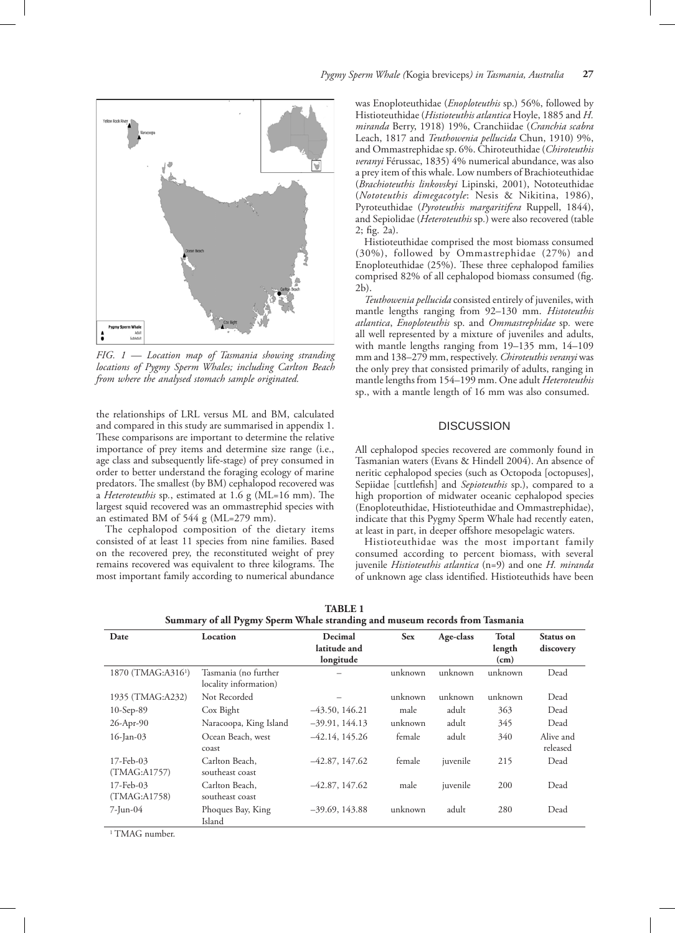

*FIG. 1 — Location map of Tasmania showing stranding locations of Pygmy Sperm Whales; including Carlton Beach from where the analysed stomach sample originated.*

the relationships of LRL versus ML and BM, calculated and compared in this study are summarised in appendix 1. These comparisons are important to determine the relative importance of prey items and determine size range (i.e., age class and subsequently life-stage) of prey consumed in order to better understand the foraging ecology of marine predators. The smallest (by BM) cephalopod recovered was a *Heteroteuthis* sp*.*, estimated at 1.6 g (ML=16 mm). The largest squid recovered was an ommastrephid species with an estimated BM of 544 g (ML=279 mm).

The cephalopod composition of the dietary items consisted of at least 11 species from nine families. Based on the recovered prey, the reconstituted weight of prey remains recovered was equivalent to three kilograms. The most important family according to numerical abundance was Enoploteuthidae (*Enoploteuthis* sp.) 56%, followed by Histioteuthidae (*Histioteuthis atlantica* Hoyle, 1885 and *H. miranda* Berry, 1918) 19%, Cranchiidae (*Cranchia scabra* Leach, 1817 and *Teuthowenia pellucida* Chun, 1910) 9%, and Ommastrephidae sp. 6%. Chiroteuthidae (*Chiroteuthis veranyi* Férussac, 1835) 4% numerical abundance, was also a prey item of this whale. Low numbers of Brachioteuthidae (*Brachioteuthis linkovskyi* Lipinski, 2001), Nototeuthidae (*Nototeuthis dimegacotyle*: Nesis & Nikitina, 1986), Pyroteuthidae (*Pyroteuthis margaritifera* Ruppell, 1844), and Sepiolidae (*Heteroteuthis* sp*.*) were also recovered (table 2; fig. 2a).

Histioteuthidae comprised the most biomass consumed (30%), followed by Ommastrephidae (27%) and Enoploteuthidae (25%). These three cephalopod families comprised 82% of all cephalopod biomass consumed (fig. 2b).

*Teuthowenia pellucida* consisted entirely of juveniles, with mantle lengths ranging from 92–130 mm. *Histoteuthis atlantica*, *Enoploteuthis* sp. and *Ommastrephidae* sp*.* were all well represented by a mixture of juveniles and adults, with mantle lengths ranging from 19–135 mm, 14–109 mm and 138–279 mm, respectively. *Chiroteuthis veranyi* was the only prey that consisted primarily of adults, ranging in mantle lengths from 154–199 mm. One adult *Heteroteuthis* sp., with a mantle length of 16 mm was also consumed.

#### **DISCUSSION**

All cephalopod species recovered are commonly found in Tasmanian waters (Evans & Hindell 2004). An absence of neritic cephalopod species (such as Octopoda [octopuses], Sepiidae [cuttlefish] and *Sepioteuthis* sp.), compared to a high proportion of midwater oceanic cephalopod species (Enoploteuthidae, Histioteuthidae and Ommastrephidae), indicate that this Pygmy Sperm Whale had recently eaten, at least in part, in deeper offshore mesopelagic waters.

Histioteuthidae was the most important family consumed according to percent biomass, with several juvenile *Histioteuthis atlantica* (n=9) and one *H. miranda* of unknown age class identified. Histioteuthids have been

| Date                           | Location                                      | Decimal<br>latitude and<br>longitude | <b>Sex</b> |          | Total<br>length<br>(cm) | Status on<br>discovery |
|--------------------------------|-----------------------------------------------|--------------------------------------|------------|----------|-------------------------|------------------------|
| 1870 (TMAG:A316 <sup>1</sup> ) | Tasmania (no further<br>locality information) |                                      | unknown    | unknown  | unknown                 | Dead                   |
| 1935 (TMAG:A232)               | Not Recorded                                  |                                      | unknown    | unknown  | unknown                 | Dead                   |
| $10-Sep-89$                    | Cox Bight                                     | $-43.50, 146.21$                     | male       | adult    | 363                     | Dead                   |
| 26-Apr-90                      | Naracoopa, King Island                        | $-39.91, 144.13$                     | unknown    | adult    | 345                     | Dead                   |
| $16$ -Jan-03                   | Ocean Beach, west<br>coast                    | $-42.14, 145.26$                     | female     | adult    | 340                     | Alive and<br>released  |
| 17-Feb-03<br>(TMAG:A1757)      | Carlton Beach.<br>southeast coast             | $-42.87, 147.62$                     | female     | juvenile | 215                     | Dead                   |
| 17-Feb-03<br>(TMAG:A1758)      | Carlton Beach,<br>southeast coast             | $-42.87, 147.62$                     | male       | juvenile | 200                     | Dead                   |
| 7-Jun-04                       | Phoques Bay, King<br>Island                   | $-39.69, 143.88$                     | unknown    | adult    | 280                     | Dead                   |

**TABLE 1 Summary of all Pygmy Sperm Whale stranding and museum records from Tasmania** 

1 TMAG number.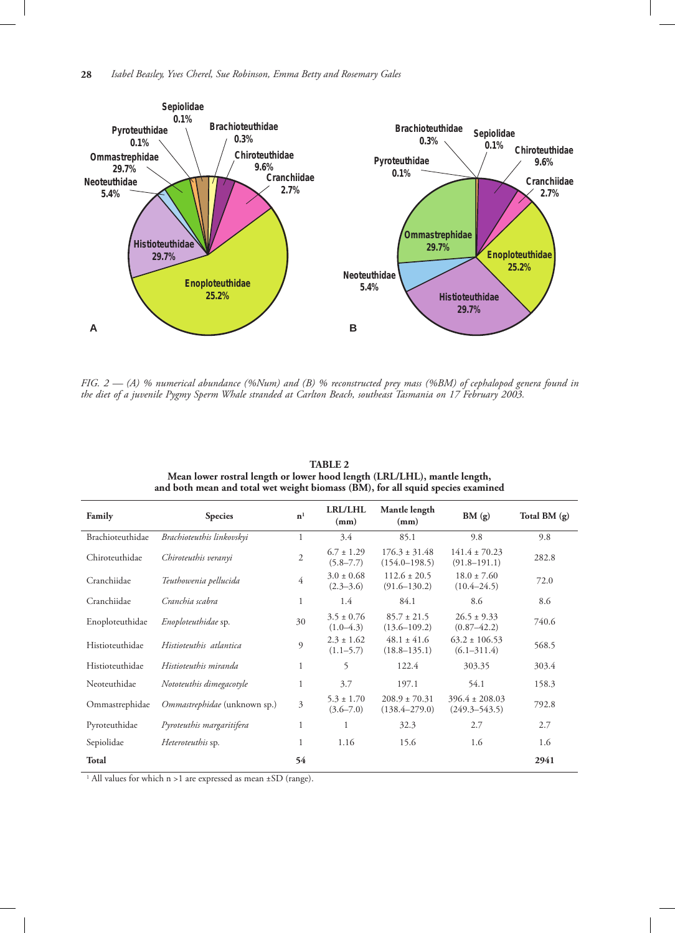

*FIG. 2 — (A) % numerical abundance (%Num) and (B) % reconstructed prey mass (%BM) of cephalopod genera found in the diet of a juvenile Pygmy Sperm Whale stranded at Carlton Beach, southeast Tasmania on 17 February 2003.* 

| Family           | <b>Species</b>               | n <sup>1</sup> | <b>LRL/LHL</b><br>(mm)          | Mantle length<br>(mm)                  | BM(g)                                   | Total BM (g) |
|------------------|------------------------------|----------------|---------------------------------|----------------------------------------|-----------------------------------------|--------------|
| Brachioteuthidae | Brachioteuthis linkovskyi    | $\mathbf{1}$   | 3.4                             | 85.1                                   | 9.8                                     | 9.8          |
| Chiroteuthidae   | Chiroteuthis veranyi         | $\overline{2}$ | $6.7 \pm 1.29$<br>$(5.8 - 7.7)$ | $176.3 \pm 31.48$<br>$(154.0 - 198.5)$ | $141.4 \pm 70.23$<br>$(91.8 - 191.1)$   | 282.8        |
| Cranchiidae      | Teuthowenia pellucida        | $\overline{4}$ | $3.0 \pm 0.68$<br>$(2.3 - 3.6)$ | $112.6 \pm 20.5$<br>$(91.6 - 130.2)$   | $18.0 \pm 7.60$<br>$(10.4 - 24.5)$      | 72.0         |
| Cranchiidae      | Cranchia scabra              | $\mathbf{1}$   | 1.4                             | 84.1                                   | 8.6                                     | 8.6          |
| Enoploteuthidae  | Enoploteuthidae sp.          | 30             | $3.5 \pm 0.76$<br>$(1.0-4.3)$   | $85.7 \pm 21.5$<br>$(13.6 - 109.2)$    | $26.5 \pm 9.33$<br>$(0.87 - 42.2)$      | 740.6        |
| Histioteuthidae  | Histioteuthis atlantica      | $\mathfrak{g}$ | $2.3 \pm 1.62$<br>$(1.1 - 5.7)$ | $48.1 \pm 41.6$<br>$(18.8 - 135.1)$    | $63.2 \pm 106.53$<br>$(6.1 - 311.4)$    | 568.5        |
| Histioteuthidae  | Histioteuthis miranda        | $\mathbf{1}$   | 5                               | 122.4                                  | 303.35                                  | 303.4        |
| Neoteuthidae     | Nototeuthis dimegacotyle     | 1              | 3.7                             | 197.1                                  | 54.1                                    | 158.3        |
| Ommastrephidae   | Ommastrephidae (unknown sp.) | 3              | $5.3 \pm 1.70$<br>$(3.6 - 7.0)$ | $208.9 \pm 70.31$<br>$(138.4 - 279.0)$ | $396.4 \pm 208.03$<br>$(249.3 - 543.5)$ | 792.8        |
| Pyroteuthidae    | Pyroteuthis margaritifera    | 1              | 1                               | 32.3                                   | 2.7                                     | 2.7          |
| Sepiolidae       | Heteroteuthis sp.            | 1              | 1.16                            | 15.6                                   | 1.6                                     | 1.6          |
| <b>Total</b>     |                              | 54             |                                 |                                        |                                         | 2941         |

**TABLE 2 Mean lower rostral length or lower hood length (LRL/LHL), mantle length, and both mean and total wet weight biomass (BM), for all squid species examined**

<sup>1</sup> All values for which n >1 are expressed as mean ±SD (range).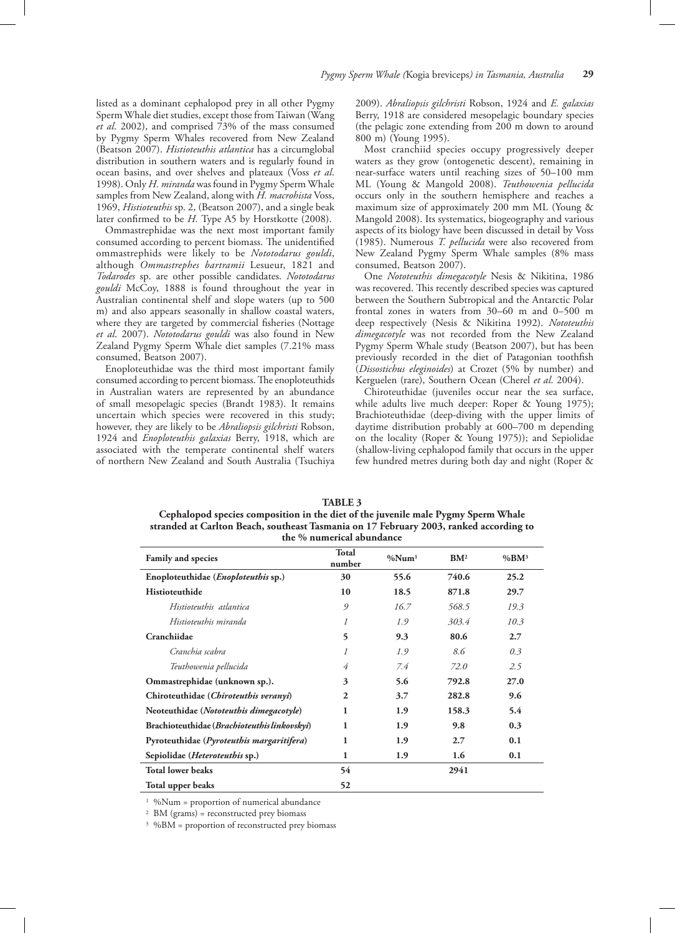listed as a dominant cephalopod prey in all other Pygmy Sperm Whale diet studies, except those from Taiwan (Wang *et al*. 2002), and comprised 73% of the mass consumed by Pygmy Sperm Whales recovered from New Zealand (Beatson 2007). *Histioteuthis atlantica* has a circumglobal distribution in southern waters and is regularly found in ocean basins, and over shelves and plateaux (Voss *et al*. 1998). Only *H. miranda* was found in Pygmy Sperm Whale samples from New Zealand, along with *H. macrohista* Voss, 1969, *Histioteuthis* sp. 2, (Beatson 2007), and a single beak later confirmed to be *H.* Type A5 by Horstkotte (2008).

Ommastrephidae was the next most important family consumed according to percent biomass. The unidentified ommastrephids were likely to be *Nototodarus gouldi*, although *Ommastrephes bartramii* Lesueur, 1821 and *Todarodes* sp. are other possible candidates. *Nototodarus gouldi* McCoy, 1888 is found throughout the year in Australian continental shelf and slope waters (up to 500 m) and also appears seasonally in shallow coastal waters, where they are targeted by commercial fisheries (Nottage *et al*. 2007). *Nototodarus gouldi* was also found in New Zealand Pygmy Sperm Whale diet samples (7.21% mass consumed, Beatson 2007).

Enoploteuthidae was the third most important family consumed according to percent biomass. The enoploteuthids in Australian waters are represented by an abundance of small mesopelagic species (Brandt 1983). It remains uncertain which species were recovered in this study; however, they are likely to be *Abraliopsis gilchristi* Robson, 1924 and *Enoploteuthis galaxias* Berry, 1918, which are associated with the temperate continental shelf waters of northern New Zealand and South Australia (Tsuchiya 2009). *Abraliopsis gilchristi* Robson, 1924 and *E. galaxias* Berry, 1918 are considered mesopelagic boundary species (the pelagic zone extending from 200 m down to around 800 m) (Young 1995).

Most cranchiid species occupy progressively deeper waters as they grow (ontogenetic descent), remaining in near-surface waters until reaching sizes of 50–100 mm ML (Young & Mangold 2008). *Teuthowenia pellucida* occurs only in the southern hemisphere and reaches a maximum size of approximately 200 mm ML (Young & Mangold 2008). Its systematics, biogeography and various aspects of its biology have been discussed in detail by Voss (1985). Numerous *T. pellucida* were also recovered from New Zealand Pygmy Sperm Whale samples (8% mass consumed, Beatson 2007).

One *Nototeuthis dimegacotyle* Nesis & Nikitina, 1986 was recovered. This recently described species was captured between the Southern Subtropical and the Antarctic Polar frontal zones in waters from 30–60 m and 0–500 m deep respectively (Nesis & Nikitina 1992). *Nototeuthis dimegacotyle* was not recorded from the New Zealand Pygmy Sperm Whale study (Beatson 2007), but has been previously recorded in the diet of Patagonian toothfish (*Dissostichus eleginoides*) at Crozet (5% by number) and Kerguelen (rare), Southern Ocean (Cherel *et al*. 2004).

Chiroteuthidae (juveniles occur near the sea surface, while adults live much deeper: Roper & Young 1975); Brachioteuthidae (deep-diving with the upper limits of daytime distribution probably at 600–700 m depending on the locality (Roper & Young 1975)); and Sepiolidae (shallow-living cephalopod family that occurs in the upper few hundred metres during both day and night (Roper &

| TABLE 5                                                                                |
|----------------------------------------------------------------------------------------|
| Cephalopod species composition in the diet of the juvenile male Pygmy Sperm Whale      |
| stranded at Carlton Beach, southeast Tasmania on 17 February 2003, ranked according to |
| the % numerical abundance                                                              |
|                                                                                        |

**TABLE 3** 

| Family and species                           | <b>Total</b><br>number | %Num <sup>1</sup> | BM <sup>2</sup> | $\%BM^3$ |
|----------------------------------------------|------------------------|-------------------|-----------------|----------|
| Enoploteuthidae ( <i>Enoploteuthis</i> sp.)  | 30                     | 55.6              | 740.6           | 25.2     |
| Histioteuthide                               | 10                     | 18.5              | 871.8           | 29.7     |
| Histioteuthis atlantica                      | 9                      | 16.7              | 568.5           | 19.3     |
| Histioteuthis miranda                        | 1                      | 1.9               | 303.4           | 10.3     |
| Cranchiidae                                  | 5                      | 9.3               | 80.6            | 2.7      |
| Cranchia scabra                              | 1                      | 1.9               | 8.6             | 0.3      |
| Teuthowenia pellucida                        | 4                      | 7.4               | 72.0            | 2.5      |
| Ommastrephidae (unknown sp.).                | 3                      | 5.6               | 792.8           | 27.0     |
| Chiroteuthidae (Chiroteuthis veranyi)        | $\mathbf{2}$           | 3.7               | 282.8           | 9.6      |
| Neoteuthidae (Nototeuthis dimegacotyle)      | 1                      | 1.9               | 158.3           | 5.4      |
| Brachioteuthidae (Brachioteuthis linkovskyi) | 1                      | 1.9               | 9.8             | 0.3      |
| Pyroteuthidae (Pyroteuthis margaritifera)    | 1                      | 1.9               | 2.7             | 0.1      |
| Sepiolidae (Heteroteuthis sp.)               | $\mathbf{1}$           | 1.9               | 1.6             | 0.1      |
| <b>Total lower beaks</b>                     | 54                     |                   | 2941            |          |
| Total upper beaks                            | 52                     |                   |                 |          |

<sup>1</sup> %Num = proportion of numerical abundance

2 BM (grams) = reconstructed prey biomass

3 %BM = proportion of reconstructed prey biomass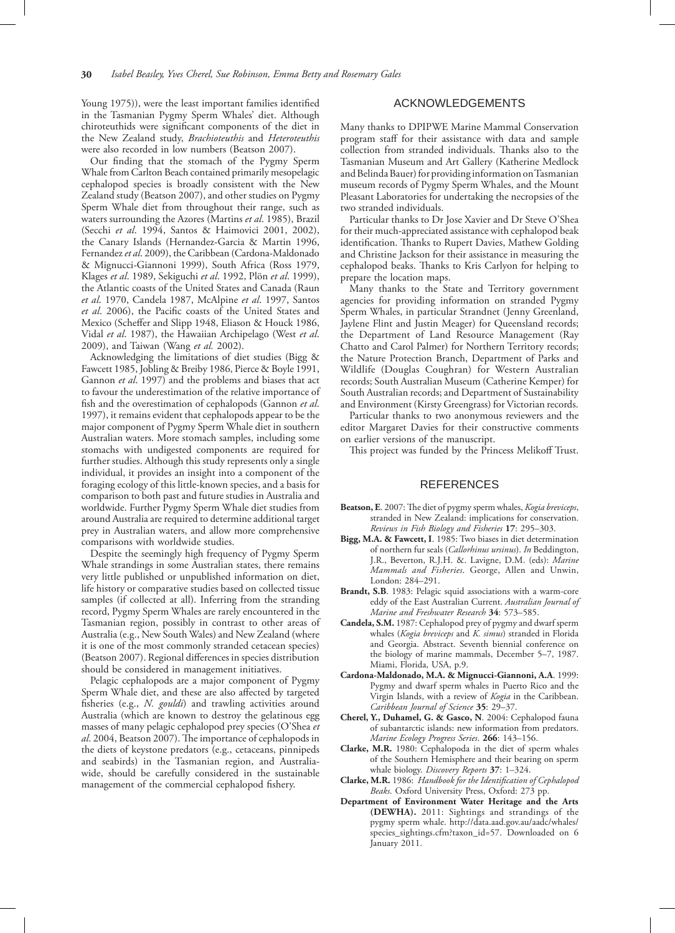Young 1975)), were the least important families identified in the Tasmanian Pygmy Sperm Whales' diet. Although chiroteuthids were significant components of the diet in the New Zealand study, *Brachioteuthis* and *Heteroteuthis* were also recorded in low numbers (Beatson 2007).

Our finding that the stomach of the Pygmy Sperm Whale from Carlton Beach contained primarily mesopelagic cephalopod species is broadly consistent with the New Zealand study (Beatson 2007), and other studies on Pygmy Sperm Whale diet from throughout their range, such as waters surrounding the Azores (Martins *et al*. 1985), Brazil (Secchi *et al*. 1994, Santos & Haimovici 2001, 2002), the Canary Islands (Hernandez-Garcia & Martin 1996, Fernandez *et al*. 2009), the Caribbean (Cardona-Maldonado & Mignucci-Giannoni 1999), South Africa (Ross 1979, Klages *et al*. 1989, Sekiguchi *et al*. 1992, Plön *et al*. 1999), the Atlantic coasts of the United States and Canada (Raun *et al*. 1970, Candela 1987, McAlpine *et al*. 1997, Santos *et al*. 2006), the Pacific coasts of the United States and Mexico (Scheffer and Slipp 1948, Eliason & Houck 1986, Vidal *et al*. 1987), the Hawaiian Archipelago (West *et al*. 2009), and Taiwan (Wang *et al.* 2002).

Acknowledging the limitations of diet studies (Bigg & Fawcett 1985, Jobling & Breiby 1986, Pierce & Boyle 1991, Gannon *et al*. 1997) and the problems and biases that act to favour the underestimation of the relative importance of fish and the overestimation of cephalopods (Gannon *et al*. 1997), it remains evident that cephalopods appear to be the major component of Pygmy Sperm Whale diet in southern Australian waters. More stomach samples, including some stomachs with undigested components are required for further studies. Although this study represents only a single individual, it provides an insight into a component of the foraging ecology of this little-known species, and a basis for comparison to both past and future studies in Australia and worldwide. Further Pygmy Sperm Whale diet studies from around Australia are required to determine additional target prey in Australian waters, and allow more comprehensive comparisons with worldwide studies.

Despite the seemingly high frequency of Pygmy Sperm Whale strandings in some Australian states, there remains very little published or unpublished information on diet, life history or comparative studies based on collected tissue samples (if collected at all). Inferring from the stranding record, Pygmy Sperm Whales are rarely encountered in the Tasmanian region, possibly in contrast to other areas of Australia (e.g., New South Wales) and New Zealand (where it is one of the most commonly stranded cetacean species) (Beatson 2007). Regional differences in species distribution should be considered in management initiatives.

Pelagic cephalopods are a major component of Pygmy Sperm Whale diet, and these are also affected by targeted fisheries (e.g., *N. gouldi*) and trawling activities around Australia (which are known to destroy the gelatinous egg masses of many pelagic cephalopod prey species (O'Shea *et al*. 2004, Beatson 2007). The importance of cephalopods in the diets of keystone predators (e.g., cetaceans, pinnipeds and seabirds) in the Tasmanian region, and Australiawide, should be carefully considered in the sustainable management of the commercial cephalopod fishery.

## ACKNOWLEDGEMENTS

Many thanks to DPIPWE Marine Mammal Conservation program staff for their assistance with data and sample collection from stranded individuals. Thanks also to the Tasmanian Museum and Art Gallery (Katherine Medlock and Belinda Bauer) for providing information on Tasmanian museum records of Pygmy Sperm Whales, and the Mount Pleasant Laboratories for undertaking the necropsies of the two stranded individuals.

Particular thanks to Dr Jose Xavier and Dr Steve O'Shea for their much-appreciated assistance with cephalopod beak identification. Thanks to Rupert Davies, Mathew Golding and Christine Jackson for their assistance in measuring the cephalopod beaks. Thanks to Kris Carlyon for helping to prepare the location maps.

Many thanks to the State and Territory government agencies for providing information on stranded Pygmy Sperm Whales, in particular Strandnet (Jenny Greenland, Jaylene Flint and Justin Meager) for Queensland records; the Department of Land Resource Management (Ray Chatto and Carol Palmer) for Northern Territory records; the Nature Protection Branch, Department of Parks and Wildlife (Douglas Coughran) for Western Australian records; South Australian Museum (Catherine Kemper) for South Australian records; and Department of Sustainability and Environment (Kirsty Greengrass) for Victorian records.

Particular thanks to two anonymous reviewers and the editor Margaret Davies for their constructive comments on earlier versions of the manuscript.

This project was funded by the Princess Melikoff Trust.

## REFERENCES

- **Beatson, E**. 2007: The diet of pygmy sperm whales, *Kogia breviceps*, stranded in New Zealand: implications for conservation. *Reviews in Fish Biology and Fisheries* **17**: 295–303.
- **Bigg, M.A. & Fawcett, I**. 1985: Two biases in diet determination of northern fur seals (*Callorhinus ursinus*). *In* Beddington, J.R., Beverton, R.J.H. &. Lavigne, D.M. (eds): *Marine Mammals and Fisheries*. George, Allen and Unwin, London: 284–291.
- **Brandt, S.B**. 1983: Pelagic squid associations with a warm-core eddy of the East Australian Current. *Australian Journal of Marine and Freshwater Research* **34**: 573–585.
- **Candela, S.M.** 1987: Cephalopod prey of pygmy and dwarf sperm whales (*Kogia breviceps* and *K. simus*) stranded in Florida and Georgia. Abstract. Seventh biennial conference on the biology of marine mammals, December 5–7, 1987. Miami, Florida, USA, p.9.
- **Cardona-Maldonado, M.A. & Mignucci-Giannoni, A.A**. 1999: Pygmy and dwarf sperm whales in Puerto Rico and the Virgin Islands, with a review of *Kogia* in the Caribbean. *Caribbean Journal of Science* **35**: 29–37.
- **Cherel, Y., Duhamel, G. & Gasco, N**. 2004: Cephalopod fauna of subantarctic islands: new information from predators. *Marine Ecology Progress Series*. **266**: 143–156.
- **Clarke, M.R.** 1980: Cephalopoda in the diet of sperm whales of the Southern Hemisphere and their bearing on sperm whale biology. *Discovery Reports* **37**: 1–324.
- **Clarke, M.R.** 1986: *Handbook for the Identification of Cephalopod Beaks*. Oxford University Press, Oxford: 273 pp.
- **Department of Environment Water Heritage and the Arts (DEWHA).** 2011: Sightings and strandings of the pygmy sperm whale. http://data.aad.gov.au/aadc/whales/ species\_sightings.cfm?taxon\_id=57. Downloaded on 6 January 2011.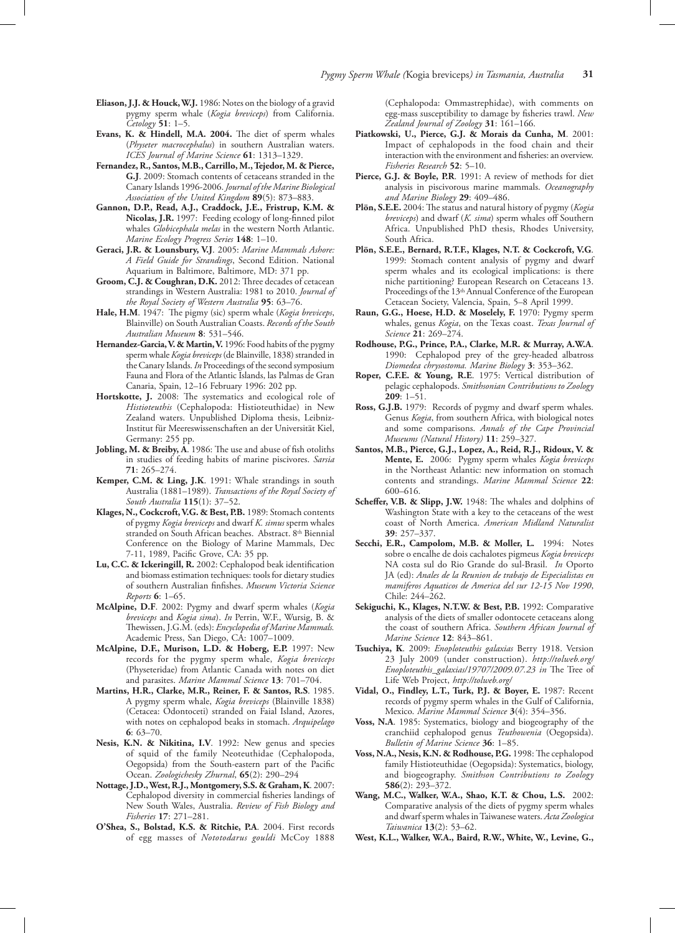- **Eliason, J.J. & Houck, W.J.** 1986: Notes on the biology of a gravid pygmy sperm whale (*Kogia breviceps*) from California. *Cetology* **51**: 1–5.
- **Evans, K. & Hindell, M.A. 2004.** The diet of sperm whales (*Physeter macrocephalus*) in southern Australian waters. *ICES Journal of Marine Science* **61**: 1313–1329.
- **Fernandez, R., Santos, M.B., Carrillo, M., Tejedor, M. & Pierce, G.J**. 2009: Stomach contents of cetaceans stranded in the Canary Islands 1996-2006. *Journal of the Marine Biological Association of the United Kingdom* **89**(5): 873–883.
- **Gannon, D.P., Read, A.J., Craddock, J.E., Fristrup, K.M. & Nicolas, J.R.** 1997: Feeding ecology of long-finned pilot whales *Globicephala melas* in the western North Atlantic. *Marine Ecology Progress Series* **148**: 1–10.
- **Geraci, J.R. & Lounsbury, V.J**. 2005: *Marine Mammals Ashore: A Field Guide for Strandings*, Second Edition. National Aquarium in Baltimore, Baltimore, MD: 371 pp.
- **Groom, C.J. & Coughran, D.K.** 2012: Three decades of cetacean strandings in Western Australia: 1981 to 2010. *Journal of the Royal Society of Western Australia* **95**: 63–76.
- **Hale, H.M**. 1947: The pigmy (sic) sperm whale (*Kogia breviceps*, Blainville) on South Australian Coasts. *Records of the South Australian Museum* **8**: 531–546.
- **Hernandez-Garcia, V. & Martin, V.** 1996: Food habits of the pygmy sperm whale *Kogia breviceps* (de Blainville, 1838) stranded in the Canary Islands. *In* Proceedings of the second symposium Fauna and Flora of the Atlantic Islands, las Palmas de Gran Canaria, Spain, 12–16 February 1996: 202 pp.
- **Hortskotte, J.** 2008: The systematics and ecological role of *Histioteuthis* (Cephalopoda: Histioteuthidae) in New Zealand waters. Unpublished Diploma thesis, Leibniz-Institut für Meereswissenschaften an der Universität Kiel, Germany: 255 pp.
- **Jobling, M. & Breiby, A**. 1986: The use and abuse of fish otoliths in studies of feeding habits of marine piscivores. *Sarsia* **71**: 265–274.
- **Kemper, C.M. & Ling, J.K**. 1991: Whale strandings in south Australia (1881–1989). *Transactions of the Royal Society of South Australia* **115**(1): 37–52.
- **Klages, N., Cockcroft, V.G. & Best, P.B.** 1989: Stomach contents of pygmy *Kogia breviceps* and dwarf *K. simus* sperm whales stranded on South African beaches. Abstract. 8<sup>th</sup> Biennial Conference on the Biology of Marine Mammals, Dec 7-11, 1989, Pacific Grove, CA: 35 pp.
- **Lu, C.C. & Ickeringill, R.** 2002: Cephalopod beak identification and biomass estimation techniques: tools for dietary studies of southern Australian finfishes. *Museum Victoria Science Reports* **6**: 1–65.
- **McAlpine, D.F**. 2002: Pygmy and dwarf sperm whales (*Kogia breviceps* and *Kogia sima*). *In* Perrin, W.F., Wursig, B. & Thewissen, J.G.M. (eds): *Encyclopedia of Marine Mammals.*  Academic Press, San Diego, CA: 1007–1009.
- **McAlpine, D.F., Murison, L.D. & Hoberg, E.P.** 1997: New records for the pygmy sperm whale, *Kogia breviceps* (Physeteridae) from Atlantic Canada with notes on diet and parasites. *Marine Mammal Science* **13**: 701–704.
- **Martins, H.R., Clarke, M.R., Reiner, F. & Santos, R.S**. 1985. A pygmy sperm whale, *Kogia breviceps* (Blainville 1838) (Cetacea: Odontoceti) stranded on Faial Island, Azores, with notes on cephalopod beaks in stomach. *Arquipelago* **6**: 63–70.
- **Nesis, K.N. & Nikitina, I.V**. 1992: New genus and species of squid of the family Neoteuthidae (Cephalopoda, Oegopsida) from the South-eastern part of the Pacific Ocean. *Zoologichesky Zhurnal*, **65**(2): 290–294
- **Nottage, J.D., West, R.J., Montgomery, S.S. & Graham, K**. 2007: Cephalopod diversity in commercial fisheries landings of New South Wales, Australia. *Review of Fish Biology and Fisheries* **17**: 271–281.
- **O'Shea, S., Bolstad, K.S. & Ritchie, P.A**. 2004. First records of egg masses of *Nototodarus gouldi* McCoy 1888

(Cephalopoda: Ommastrephidae), with comments on egg-mass susceptibility to damage by fisheries trawl. *New Zealand Journal of Zoology* **31**: 161–166.

- **Piatkowski, U., Pierce, G.J. & Morais da Cunha, M**. 2001: Impact of cephalopods in the food chain and their interaction with the environment and fisheries: an overview. *Fisheries Research* **52**: 5–10.
- Pierce, G.J. & Boyle, P.R. 1991: A review of methods for diet analysis in piscivorous marine mammals. *Oceanography and Marine Biology* **29**: 409–486.
- **Plön, S.E.E.** 2004: The status and natural history of pygmy (*Kogia breviceps*) and dwarf (*K. sima*) sperm whales off Southern Africa. Unpublished PhD thesis, Rhodes University, South Africa.
- **Plön, S.E.E., Bernard, R.T.F., Klages, N.T. & Cockcroft, V.G**. 1999: Stomach content analysis of pygmy and dwarf sperm whales and its ecological implications: is there niche partitioning? European Research on Cetaceans 13. Proceedings of the 13<sup>th</sup> Annual Conference of the European Cetacean Society, Valencia, Spain, 5–8 April 1999.
- **Raun, G.G., Hoese, H.D. & Moselely, F.** 1970: Pygmy sperm whales, genus *Kogia*, on the Texas coast. *Texas Journal of Science* **21**: 269–274.
- **Rodhouse, P.G., Prince, P.A., Clarke, M.R. & Murray, A.W.A**. 1990: Cephalopod prey of the grey-headed albatross *Diomedea chrysostoma. Marine Biology* **3**: 353–362.
- **Roper, C.F.E. & Young, R.E**. 1975: Vertical distribution of pelagic cephalopods. *Smithsonian Contributions to Zoology* **209**: 1–51.
- **Ross, G.J.B.** 1979: Records of pygmy and dwarf sperm whales. Genus *Kogia*, from southern Africa, with biological notes and some comparisons. *Annals of the Cape Provincial Museums (Natural History)* **11**: 259–327.
- **Santos, M.B., Pierce, G.J., Lopez, A., Reid, R.J., Ridoux, V. & Mente, E.** 2006: Pygmy sperm whales *Kogia breviceps* in the Northeast Atlantic: new information on stomach contents and strandings. *Marine Mammal Science* **22**: 600–616.
- **Scheffer, V.B. & Slipp, J.W.** 1948: The whales and dolphins of Washington State with a key to the cetaceans of the west coast of North America. *American Midland Naturalist* **39**: 257–337.
- **Secchi, E.R., Campolom, M.B. & Moller, L.** 1994: Notes sobre o encalhe de dois cachalotes pigmeus *Kogia breviceps* NA costa sul do Rio Grande do sul-Brasil. *In* Oporto JA (ed): *Anales de la Reunion de trabajo de Especialistas en mamiferos Aquaticos de America del sur 12-15 Nov 1990*, Chile: 244–262.
- **Sekiguchi, K., Klages, N.T.W. & Best, P.B.** 1992: Comparative analysis of the diets of smaller odontocete cetaceans along the coast of southern Africa. *Southern African Journal of Marine Science* **12**: 843–861.
- **Tsuchiya, K**. 2009: *Enoploteuthis galaxias* Berry 1918. Version 23 July 2009 (under construction). *http://tolweb.org/ Enoploteuthis\_galaxias/19707/2009.07.23 in* The Tree of Life Web Project, *http://tolweb.org/*
- **Vidal, O., Findley, L.T., Turk, P.J. & Boyer, E.** 1987: Recent records of pygmy sperm whales in the Gulf of California, Mexico. *Marine Mammal Science* **3**(4): 354–356.
- **Voss, N.A**. 1985: Systematics, biology and biogeography of the cranchiid cephalopod genus *Teuthowenia* (Oegopsida). *Bulletin of Marine Science* **36**: 1–85.
- **Voss, N.A., Nesis, K.N. & Rodhouse, P.G.** 1998: The cephalopod family Histioteuthidae (Oegopsida): Systematics, biology, and biogeography. *Smithson Contributions to Zoology* **586**(2): 293–372.
- **Wang, M.C., Walker, W.A., Shao, K.T. & Chou, L.S.** 2002: Comparative analysis of the diets of pygmy sperm whales and dwarf sperm whales in Taiwanese waters. *Acta Zoologica Taiwanica* **13**(2): 53–62.
- **West, K.L., Walker, W.A., Baird, R.W., White, W., Levine, G.,**